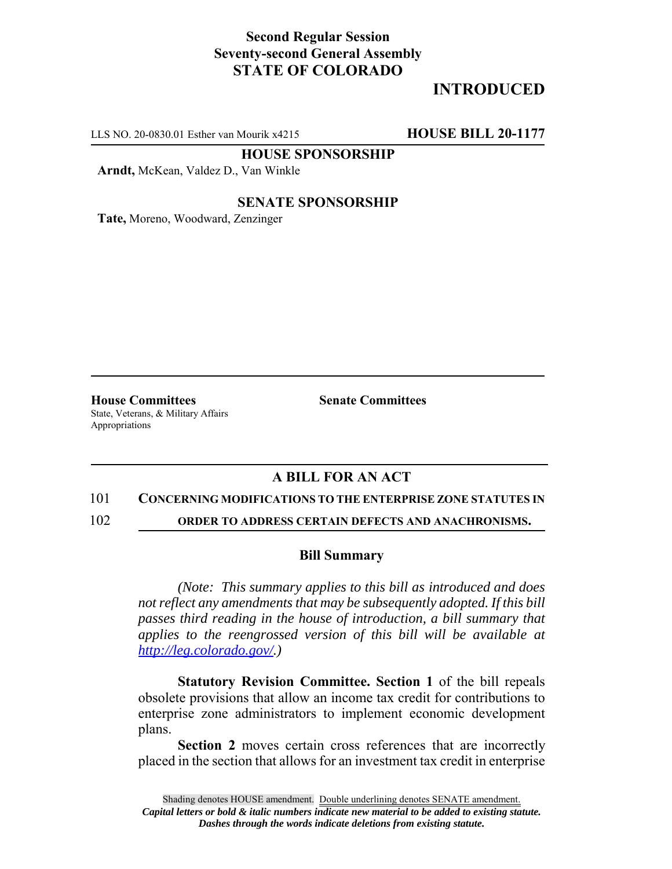## **Second Regular Session Seventy-second General Assembly STATE OF COLORADO**

# **INTRODUCED**

LLS NO. 20-0830.01 Esther van Mourik x4215 **HOUSE BILL 20-1177**

**HOUSE SPONSORSHIP**

**Arndt,** McKean, Valdez D., Van Winkle

### **SENATE SPONSORSHIP**

**Tate,** Moreno, Woodward, Zenzinger

**House Committees Senate Committees** State, Veterans, & Military Affairs Appropriations

### **A BILL FOR AN ACT**

### 101 **CONCERNING MODIFICATIONS TO THE ENTERPRISE ZONE STATUTES IN**

102 **ORDER TO ADDRESS CERTAIN DEFECTS AND ANACHRONISMS.**

### **Bill Summary**

*(Note: This summary applies to this bill as introduced and does not reflect any amendments that may be subsequently adopted. If this bill passes third reading in the house of introduction, a bill summary that applies to the reengrossed version of this bill will be available at http://leg.colorado.gov/.)*

**Statutory Revision Committee. Section 1** of the bill repeals obsolete provisions that allow an income tax credit for contributions to enterprise zone administrators to implement economic development plans.

**Section 2** moves certain cross references that are incorrectly placed in the section that allows for an investment tax credit in enterprise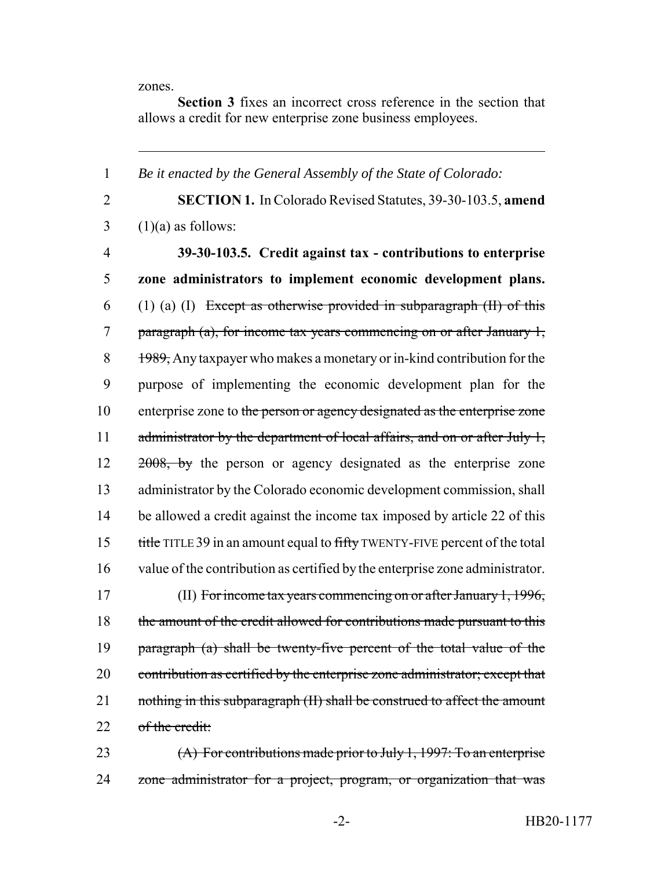zones.

**Section 3** fixes an incorrect cross reference in the section that allows a credit for new enterprise zone business employees.

1 *Be it enacted by the General Assembly of the State of Colorado:* 2 **SECTION 1.** In Colorado Revised Statutes, 39-30-103.5, **amend**  $3 \quad (1)(a)$  as follows: 4 **39-30-103.5. Credit against tax - contributions to enterprise** 5 **zone administrators to implement economic development plans.** 6 (1) (a) (I) Except as otherwise provided in subparagraph  $(H)$  of this 7 paragraph (a), for income tax years commencing on or after January 1, 8 1989, Any taxpayer who makes a monetary or in-kind contribution for the 9 purpose of implementing the economic development plan for the 10 enterprise zone to the person or agency designated as the enterprise zone 11 administrator by the department of local affairs, and on or after July 1, 12 2008, by the person or agency designated as the enterprise zone 13 administrator by the Colorado economic development commission, shall 14 be allowed a credit against the income tax imposed by article 22 of this 15 title TITLE 39 in an amount equal to fifty TWENTY-FIVE percent of the total 16 value of the contribution as certified by the enterprise zone administrator. 17 (II) For income tax years commencing on or after January 1, 1996, 18 the amount of the credit allowed for contributions made pursuant to this 19 paragraph (a) shall be twenty-five percent of the total value of the 20 contribution as certified by the enterprise zone administrator; except that 21 nothing in this subparagraph (II) shall be construed to affect the amount 22 of the credit: 23 (A) For contributions made prior to July 1, 1997: To an enterprise 24 zone administrator for a project, program, or organization that was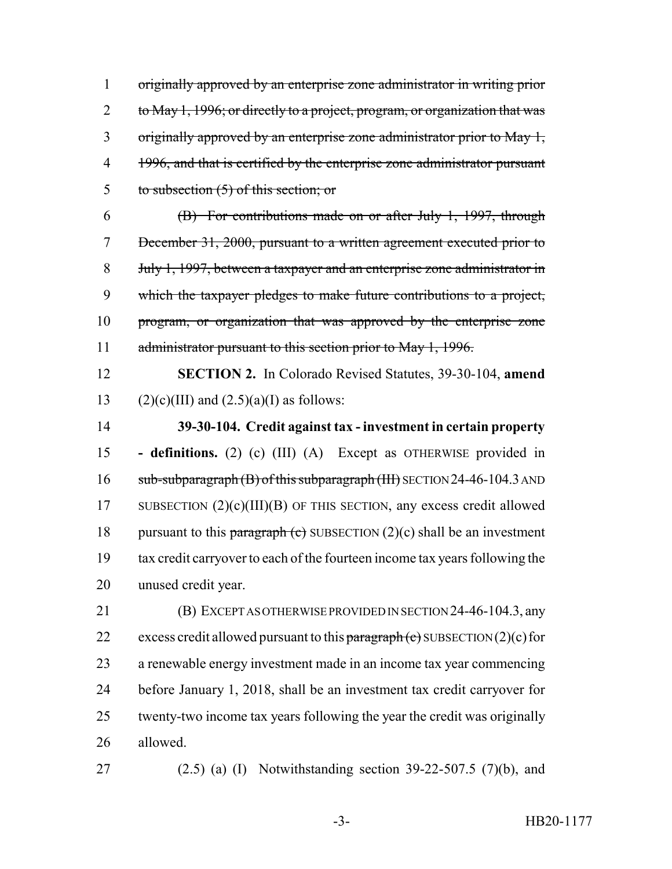originally approved by an enterprise zone administrator in writing prior 2 to May 1, 1996; or directly to a project, program, or organization that was originally approved by an enterprise zone administrator prior to May 1, 4 1996, and that is certified by the enterprise zone administrator pursuant to subsection (5) of this section; or

 (B) For contributions made on or after July 1, 1997, through December 31, 2000, pursuant to a written agreement executed prior to July 1, 1997, between a taxpayer and an enterprise zone administrator in which the taxpayer pledges to make future contributions to a project, program, or organization that was approved by the enterprise zone 11 administrator pursuant to this section prior to May 1, 1996.

 **SECTION 2.** In Colorado Revised Statutes, 39-30-104, **amend** 13 (2)(c)(III) and  $(2.5)(a)$ (I) as follows:

 **39-30-104. Credit against tax - investment in certain property - definitions.** (2) (c) (III) (A) Except as OTHERWISE provided in 16 sub-subparagraph (B) of this subparagraph (III) SECTION 24-46-104.3 AND 17 SUBSECTION  $(2)(c)(III)(B)$  OF THIS SECTION, any excess credit allowed 18 pursuant to this paragraph (c) SUBSECTION  $(2)(c)$  shall be an investment tax credit carryover to each of the fourteen income tax years following the unused credit year.

 (B) EXCEPT AS OTHERWISE PROVIDED IN SECTION 24-46-104.3, any 22 excess credit allowed pursuant to this paragraph  $(e)$  SUBSECTION  $(2)(e)$  for a renewable energy investment made in an income tax year commencing before January 1, 2018, shall be an investment tax credit carryover for twenty-two income tax years following the year the credit was originally allowed.

(2.5) (a) (I) Notwithstanding section 39-22-507.5 (7)(b), and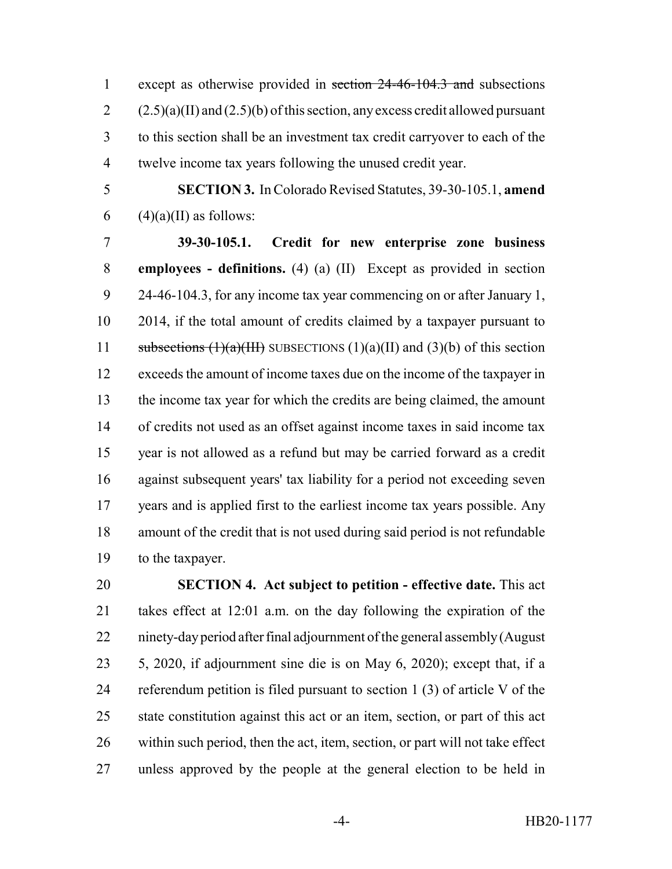except as otherwise provided in section 24-46-104.3 and subsections  $2 \qquad (2.5)(a)(II)$  and  $(2.5)(b)$  of this section, any excess credit allowed pursuant to this section shall be an investment tax credit carryover to each of the twelve income tax years following the unused credit year.

 **SECTION 3.** In Colorado Revised Statutes, 39-30-105.1, **amend** 6 (4)(a)(II) as follows:

 **39-30-105.1. Credit for new enterprise zone business employees - definitions.** (4) (a) (II) Except as provided in section 24-46-104.3, for any income tax year commencing on or after January 1, 2014, if the total amount of credits claimed by a taxpayer pursuant to 11 subsections  $(1)(a)(III)$  SUBSECTIONS  $(1)(a)(II)$  and  $(3)(b)$  of this section exceeds the amount of income taxes due on the income of the taxpayer in the income tax year for which the credits are being claimed, the amount of credits not used as an offset against income taxes in said income tax year is not allowed as a refund but may be carried forward as a credit against subsequent years' tax liability for a period not exceeding seven years and is applied first to the earliest income tax years possible. Any amount of the credit that is not used during said period is not refundable to the taxpayer.

 **SECTION 4. Act subject to petition - effective date.** This act takes effect at 12:01 a.m. on the day following the expiration of the ninety-day period after final adjournment of the general assembly (August 5, 2020, if adjournment sine die is on May 6, 2020); except that, if a referendum petition is filed pursuant to section 1 (3) of article V of the state constitution against this act or an item, section, or part of this act within such period, then the act, item, section, or part will not take effect unless approved by the people at the general election to be held in